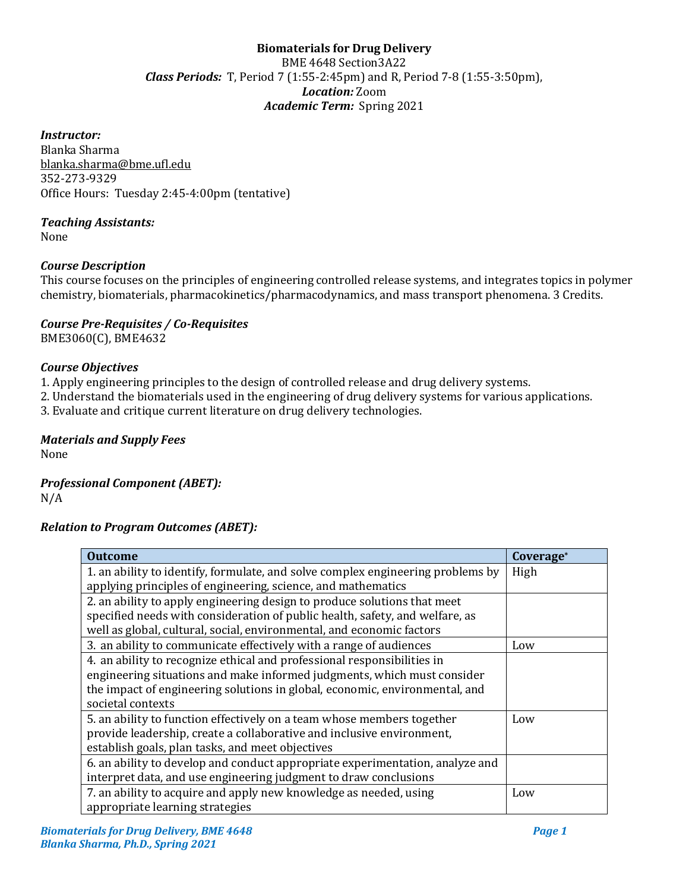# **Biomaterials for Drug Delivery**  BME 4648 Section3A22 *Class Periods:* T, Period 7 (1:55-2:45pm) and R, Period 7-8 (1:55-3:50pm), *Location:* Zoom *Academic Term:* Spring 2021

## *Instructor:*

Blanka Sharma blanka.sharma@bme.ufl.edu 352-273-9329 Office Hours: Tuesday 2:45-4:00pm (tentative)

# *Teaching Assistants:*

None

# *Course Description*

This course focuses on the principles of engineering controlled release systems, and integrates topics in polymer chemistry, biomaterials, pharmacokinetics/pharmacodynamics, and mass transport phenomena. 3 Credits.

## *Course Pre-Requisites / Co-Requisites* BME3060(C), BME4632

## *Course Objectives*

1. Apply engineering principles to the design of controlled release and drug delivery systems.

2. Understand the biomaterials used in the engineering of drug delivery systems for various applications.

3. Evaluate and critique current literature on drug delivery technologies.

# *Materials and Supply Fees*

None

# *Professional Component (ABET):*

N/A

# *Relation to Program Outcomes (ABET):*

| <b>Outcome</b>                                                                  | Coverage* |
|---------------------------------------------------------------------------------|-----------|
| 1. an ability to identify, formulate, and solve complex engineering problems by | High      |
| applying principles of engineering, science, and mathematics                    |           |
| 2. an ability to apply engineering design to produce solutions that meet        |           |
| specified needs with consideration of public health, safety, and welfare, as    |           |
| well as global, cultural, social, environmental, and economic factors           |           |
| 3. an ability to communicate effectively with a range of audiences              | Low       |
| 4. an ability to recognize ethical and professional responsibilities in         |           |
| engineering situations and make informed judgments, which must consider         |           |
| the impact of engineering solutions in global, economic, environmental, and     |           |
| societal contexts                                                               |           |
| 5. an ability to function effectively on a team whose members together          | Low       |
| provide leadership, create a collaborative and inclusive environment,           |           |
| establish goals, plan tasks, and meet objectives                                |           |
| 6. an ability to develop and conduct appropriate experimentation, analyze and   |           |
| interpret data, and use engineering judgment to draw conclusions                |           |
| 7. an ability to acquire and apply new knowledge as needed, using               | Low       |
| appropriate learning strategies                                                 |           |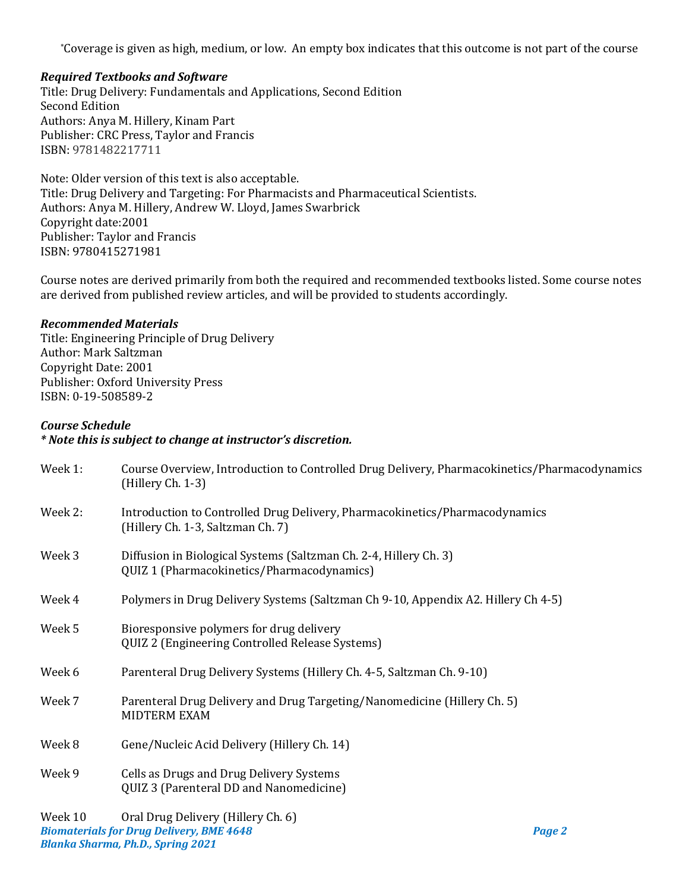\*Coverage is given as high, medium, or low. An empty box indicates that this outcome is not part of the course

## *Required Textbooks and Software*

Title: Drug Delivery: Fundamentals and Applications, Second Edition Second Edition Authors: Anya M. Hillery, Kinam Part Publisher: CRC Press, Taylor and Francis ISBN: 9781482217711

Note: Older version of this text is also acceptable. Title: Drug Delivery and Targeting: For Pharmacists and Pharmaceutical Scientists. Authors: Anya M. Hillery, Andrew W. Lloyd, James Swarbrick Copyright date:2001 Publisher: Taylor and Francis ISBN: 9780415271981

Course notes are derived primarily from both the required and recommended textbooks listed. Some course notes are derived from published review articles, and will be provided to students accordingly.

#### *Recommended Materials*

Title: Engineering Principle of Drug Delivery Author: Mark Saltzman Copyright Date: 2001 Publisher: Oxford University Press ISBN: 0-19-508589-2

#### *Course Schedule*

#### *\* Note this is subject to change at instructor's discretion.*

| Week 1: | Course Overview, Introduction to Controlled Drug Delivery, Pharmacokinetics/Pharmacodynamics<br>(Hillery Ch. 1-3) |        |  |
|---------|-------------------------------------------------------------------------------------------------------------------|--------|--|
| Week 2: | Introduction to Controlled Drug Delivery, Pharmacokinetics/Pharmacodynamics<br>(Hillery Ch. 1-3, Saltzman Ch. 7)  |        |  |
| Week 3  | Diffusion in Biological Systems (Saltzman Ch. 2-4, Hillery Ch. 3)<br>QUIZ 1 (Pharmacokinetics/Pharmacodynamics)   |        |  |
| Week 4  | Polymers in Drug Delivery Systems (Saltzman Ch 9-10, Appendix A2. Hillery Ch 4-5)                                 |        |  |
| Week 5  | Bioresponsive polymers for drug delivery<br>QUIZ 2 (Engineering Controlled Release Systems)                       |        |  |
| Week 6  | Parenteral Drug Delivery Systems (Hillery Ch. 4-5, Saltzman Ch. 9-10)                                             |        |  |
| Week 7  | Parenteral Drug Delivery and Drug Targeting/Nanomedicine (Hillery Ch. 5)<br><b>MIDTERM EXAM</b>                   |        |  |
| Week 8  | Gene/Nucleic Acid Delivery (Hillery Ch. 14)                                                                       |        |  |
| Week 9  | Cells as Drugs and Drug Delivery Systems<br>QUIZ 3 (Parenteral DD and Nanomedicine)                               |        |  |
| Week 10 | Oral Drug Delivery (Hillery Ch. 6)<br><b>Biomaterials for Drug Delivery, BME 4648</b>                             | Page 2 |  |

*Blanka Sharma, Ph.D., Spring 2021*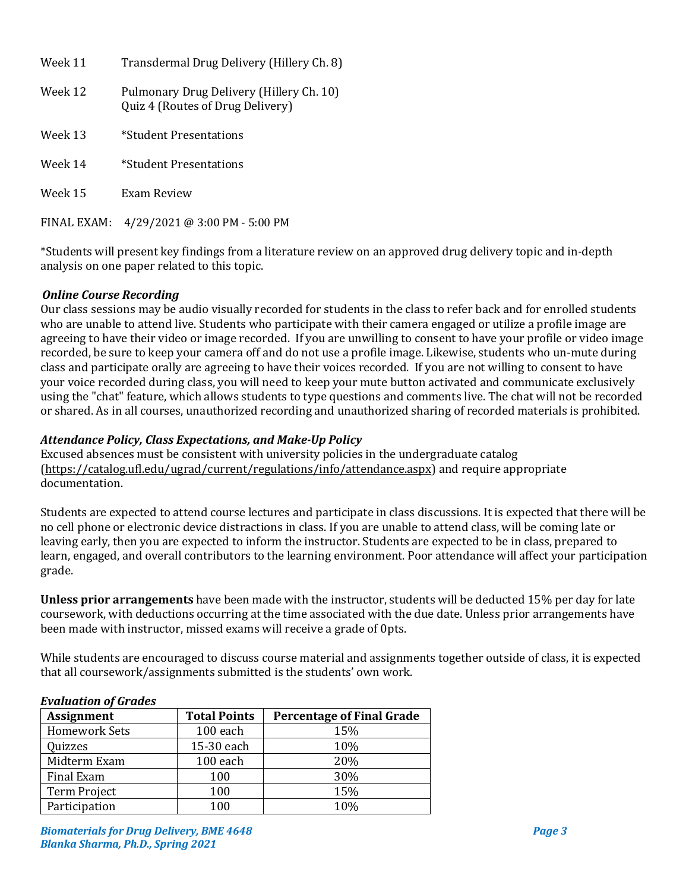| Week 11     | Transdermal Drug Delivery (Hillery Ch. 8)                                    |
|-------------|------------------------------------------------------------------------------|
| Week 12     | Pulmonary Drug Delivery (Hillery Ch. 10)<br>Quiz 4 (Routes of Drug Delivery) |
| Week 13     | *Student Presentations                                                       |
| Week 14     | *Student Presentations                                                       |
| Week 15     | Exam Review                                                                  |
| FINAL EXAM: | $4/29/2021$ @ 3:00 PM - 5:00 PM                                              |

\*Students will present key findings from a literature review on an approved drug delivery topic and in-depth analysis on one paper related to this topic.

# *Online Course Recording*

Our class sessions may be audio visually recorded for students in the class to refer back and for enrolled students who are unable to attend live. Students who participate with their camera engaged or utilize a profile image are agreeing to have their video or image recorded. If you are unwilling to consent to have your profile or video image recorded, be sure to keep your camera off and do not use a profile image. Likewise, students who un-mute during class and participate orally are agreeing to have their voices recorded. If you are not willing to consent to have your voice recorded during class, you will need to keep your mute button activated and communicate exclusively using the "chat" feature, which allows students to type questions and comments live. The chat will not be recorded or shared. As in all courses, unauthorized recording and unauthorized sharing of recorded materials is prohibited.

## *Attendance Policy, Class Expectations, and Make-Up Policy*

Excused absences must be consistent with university policies in the undergraduate catalog [\(https://catalog.ufl.edu/ugrad/current/regulations/info/attendance.aspx\)](https://catalog.ufl.edu/ugrad/current/regulations/info/attendance.aspx) and require appropriate documentation.

Students are expected to attend course lectures and participate in class discussions. It is expected that there will be no cell phone or electronic device distractions in class. If you are unable to attend class, will be coming late or leaving early, then you are expected to inform the instructor. Students are expected to be in class, prepared to learn, engaged, and overall contributors to the learning environment. Poor attendance will affect your participation grade.

**Unless prior arrangements** have been made with the instructor, students will be deducted 15% per day for late coursework, with deductions occurring at the time associated with the due date. Unless prior arrangements have been made with instructor, missed exams will receive a grade of 0pts.

While students are encouraged to discuss course material and assignments together outside of class, it is expected that all coursework/assignments submitted is the students' own work.

#### *Evaluation of Grades*

| $\mathbf{r}$ , and a cross of $\mathbf{r}$ as a cross |                                  |  |  |  |
|-------------------------------------------------------|----------------------------------|--|--|--|
| <b>Total Points</b>                                   | <b>Percentage of Final Grade</b> |  |  |  |
| 100 each                                              | 15%                              |  |  |  |
| 15-30 each                                            | 10%                              |  |  |  |
| 100 each                                              | 20%                              |  |  |  |
| 100                                                   | 30%                              |  |  |  |
| 100                                                   | 15%                              |  |  |  |
| 100                                                   | 10%                              |  |  |  |
|                                                       |                                  |  |  |  |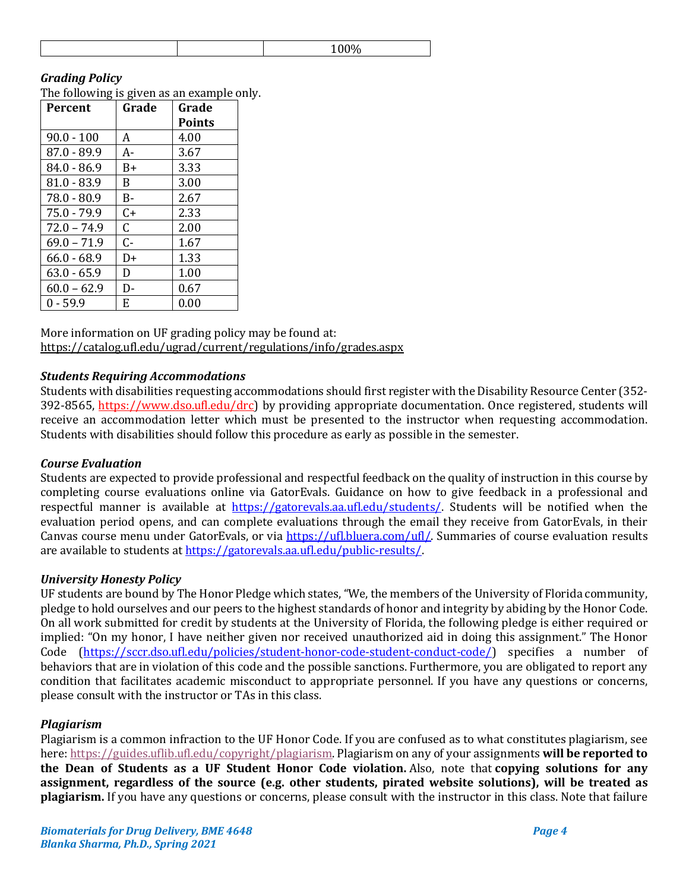## *Grading Policy*

The following is given as an example only.

| Percent       | Grade        | Grade         |
|---------------|--------------|---------------|
|               |              | <b>Points</b> |
| $90.0 - 100$  | A            | 4.00          |
| $87.0 - 89.9$ | A-           | 3.67          |
| $84.0 - 86.9$ | B+           | 3.33          |
| $81.0 - 83.9$ | B.           | 3.00          |
| $78.0 - 80.9$ | В-           | 2.67          |
| $75.0 - 79.9$ | C+           | 2.33          |
| $72.0 - 74.9$ | $\mathsf{C}$ | 2.00          |
| $69.0 - 71.9$ | $C -$        | 1.67          |
| $66.0 - 68.9$ | D+           | 1.33          |
| $63.0 - 65.9$ | D            | 1.00          |
| $60.0 - 62.9$ | D-           | 0.67          |
| $0 - 59.9$    | E            | 0.00          |

More information on UF grading policy may be found at: <https://catalog.ufl.edu/ugrad/current/regulations/info/grades.aspx>

#### *Students Requiring Accommodations*

Students with disabilities requesting accommodations should first register with the Disability Resource Center (352- 392-8565, https://www.dso.ufl.edu/drc) by providing appropriate documentation. Once registered, students will receive an accommodation letter which must be presented to the instructor when requesting accommodation. Students with disabilities should follow this procedure as early as possible in the semester.

#### *Course Evaluation*

Students are expected to provide professional and respectful feedback on the quality of instruction in this course by completing course evaluations online via GatorEvals. Guidance on how to give feedback in a professional and respectful manner is available at [https://gatorevals.aa.ufl.edu/students/.](https://gatorevals.aa.ufl.edu/students/) Students will be notified when the evaluation period opens, and can complete evaluations through the email they receive from GatorEvals, in their Canvas course menu under GatorEvals, or via [https://ufl.bluera.com/ufl/.](https://ufl.bluera.com/ufl/) Summaries of course evaluation results are available to students a[t https://gatorevals.aa.ufl.edu/public-results/.](https://gatorevals.aa.ufl.edu/public-results/)

#### *University Honesty Policy*

UF students are bound by The Honor Pledge which states, "We, the members of the University of Florida community, pledge to hold ourselves and our peers to the highest standards of honor and integrity by abiding by the Honor Code. On all work submitted for credit by students at the University of Florida, the following pledge is either required or implied: "On my honor, I have neither given nor received unauthorized aid in doing this assignment." The Honor Code [\(https://sccr.dso.ufl.edu/policies/student-honor-code-student-conduct-code/\)](https://sccr.dso.ufl.edu/policies/student-honor-code-student-conduct-code/) specifies a number of behaviors that are in violation of this code and the possible sanctions. Furthermore, you are obligated to report any condition that facilitates academic misconduct to appropriate personnel. If you have any questions or concerns, please consult with the instructor or TAs in this class.

# *Plagiarism*

Plagiarism is a common infraction to the UF Honor Code. If you are confused as to what constitutes plagiarism, see here: [https://guides.uflib.ufl.edu/copyright/plagiarism.](https://guides.uflib.ufl.edu/copyright/plagiarism) Plagiarism on any of your assignments **will be reported to the Dean of Students as a UF Student Honor Code violation.** Also, note that **copying solutions for any assignment, regardless of the source (e.g. other students, pirated website solutions), will be treated as plagiarism.** If you have any questions or concerns, please consult with the instructor in this class. Note that failure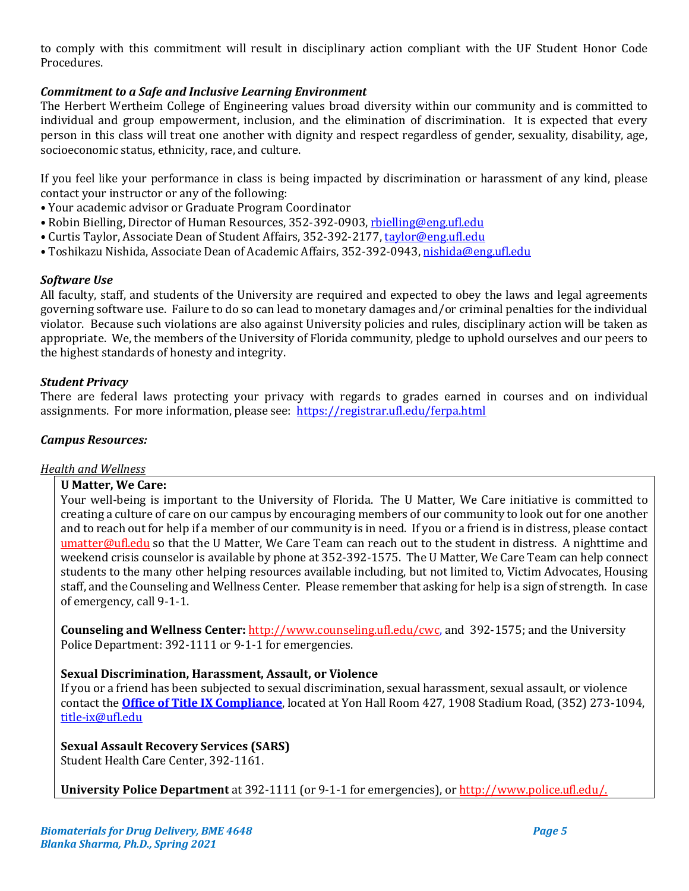to comply with this commitment will result in disciplinary action compliant with the UF Student Honor Code Procedures.

# *Commitment to a Safe and Inclusive Learning Environment*

The Herbert Wertheim College of Engineering values broad diversity within our community and is committed to individual and group empowerment, inclusion, and the elimination of discrimination. It is expected that every person in this class will treat one another with dignity and respect regardless of gender, sexuality, disability, age, socioeconomic status, ethnicity, race, and culture.

If you feel like your performance in class is being impacted by discrimination or harassment of any kind, please contact your instructor or any of the following:

- Your academic advisor or Graduate Program Coordinator
- Robin Bielling, Director of Human Resources, 352-392-0903, [rbielling@eng.ufl.edu](mailto:rbielling@eng.ufl.edu)
- Curtis Taylor, Associate Dean of Student Affairs, 352-392-2177, [taylor@eng.ufl.edu](mailto:taylor@eng.ufl.edu)
- Toshikazu Nishida, Associate Dean of Academic Affairs, 352-392-0943[, nishida@eng.ufl.edu](mailto:nishida@eng.ufl.edu)

## *Software Use*

All faculty, staff, and students of the University are required and expected to obey the laws and legal agreements governing software use. Failure to do so can lead to monetary damages and/or criminal penalties for the individual violator. Because such violations are also against University policies and rules, disciplinary action will be taken as appropriate. We, the members of the University of Florida community, pledge to uphold ourselves and our peers to the highest standards of honesty and integrity.

## *Student Privacy*

There are federal laws protecting your privacy with regards to grades earned in courses and on individual assignments. For more information, please see: <https://registrar.ufl.edu/ferpa.html>

# *Campus Resources:*

# *Health and Wellness*

#### **U Matter, We Care:**

Your well-being is important to the University of Florida. The U Matter, We Care initiative is committed to creating a culture of care on our campus by encouraging members of our community to look out for one another and to reach out for help if a member of our community is in need. If you or a friend is in distress, please contact [umatter@ufl.edu](mailto:umatter@ufl.edu) so that the U Matter, We Care Team can reach out to the student in distress. A nighttime and weekend crisis counselor is available by phone at 352-392-1575. The U Matter, We Care Team can help connect students to the many other helping resources available including, but not limited to, Victim Advocates, Housing staff, and the Counseling and Wellness Center. Please remember that asking for help is a sign of strength. In case of emergency, call 9-1-1.

**Counseling and Wellness Center:** [http://www.counseling.ufl.edu/cwc,](http://www.counseling.ufl.edu/cwc) and 392-1575; and the University Police Department: 392-1111 or 9-1-1 for emergencies.

# **Sexual Discrimination, Harassment, Assault, or Violence**

If you or a friend has been subjected to sexual discrimination, sexual harassment, sexual assault, or violence contact the **[Office of Title IX Compliance](https://titleix.ufl.edu/)**, located at Yon Hall Room 427, 1908 Stadium Road, (352) 273-1094, [title-ix@ufl.edu](mailto:title-ix@ufl.edu)

# **Sexual Assault Recovery Services (SARS)**

Student Health Care Center, 392-1161.

**University Police Department** at 392-1111 (or 9-1-1 for emergencies), o[r http://www.police.ufl.edu/.](http://www.police.ufl.edu/)